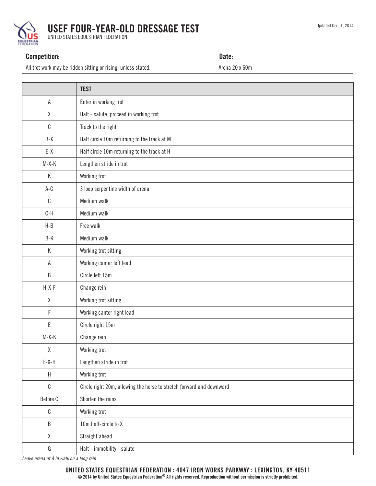

## USEF FOUR-YEAR-OLD DRESSAGE TEST

UNITED STATES EQUESTRIAN FEDERATION

## Competition: Date: All trot work may be ridden sitting or rising, unless stated. Arena 20 x 60m

|              | <b>TEST</b>                                                          |  |  |
|--------------|----------------------------------------------------------------------|--|--|
| Α            | Enter in working trot                                                |  |  |
| χ            | Halt - salute, proceed in working trot                               |  |  |
| $\mathbb{C}$ | Track to the right                                                   |  |  |
| $B-X$        | Half circle 10m returning to the track at M                          |  |  |
| $E-X$        | Half circle 10m returning to the track at H                          |  |  |
| $M-X-K$      | Lengthen stride in trot                                              |  |  |
| К            | Working trot                                                         |  |  |
| $A-C$        | 3 loop serpentine width of arena                                     |  |  |
| $\mathbb{C}$ | Medium walk                                                          |  |  |
| $C-H$        | Medium walk                                                          |  |  |
| $H-B$        | Free walk                                                            |  |  |
| $B-K$        | Medium walk                                                          |  |  |
| К            | Working trot sitting                                                 |  |  |
| $\mathsf A$  | Working canter left lead                                             |  |  |
| $\sf B$      | Circle left 15m                                                      |  |  |
| $H-X-F$      | Change rein                                                          |  |  |
| $\pmb{\chi}$ | Working trot sitting                                                 |  |  |
| F            | Working canter right lead                                            |  |  |
| E            | Circle right 15m                                                     |  |  |
| $M-X-K$      | Change rein                                                          |  |  |
| χ            | Working trot                                                         |  |  |
| $F-X-H$      | Lengthen stride in trot                                              |  |  |
| $\sf H$      | Working trot                                                         |  |  |
| $\mathbb{C}$ | Circle right 20m, allowing the horse to stretch forward and downward |  |  |
| Before C     | Shorten the reins                                                    |  |  |
| $\mathbb{C}$ | Working trot                                                         |  |  |
| $\sf B$      | 10m half-circle to X                                                 |  |  |
| $\mathsf X$  | Straight ahead                                                       |  |  |
| ${\bf G}$    | Halt - immobility - salute                                           |  |  |

*Leave arena at A in walk on a long rein*